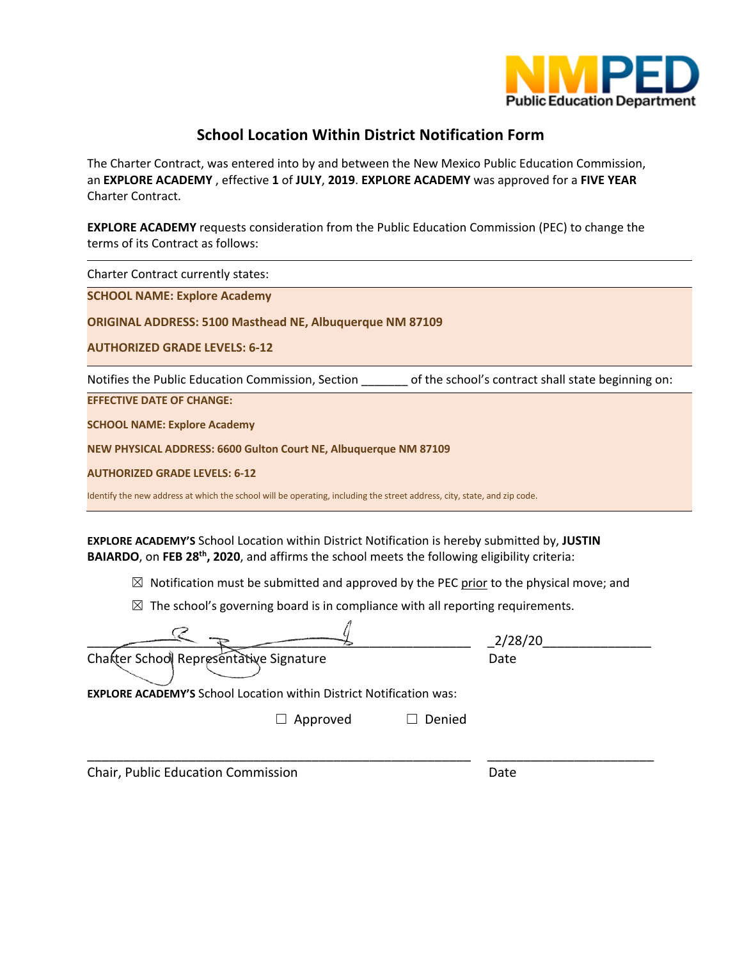

# **School Location Within District Notification Form**

The Charter Contract, was entered into by and between the New Mexico Public Education Commission, an **EXPLORE ACADEMY** , effective **1** of **JULY**, **2019**. **EXPLORE ACADEMY** was approved for a **FIVE YEAR** Charter Contract.

**EXPLORE ACADEMY** requests consideration from the Public Education Commission (PEC) to change the terms of its Contract as follows:

Charter Contract currently states:

**SCHOOL NAME: Explore Academy**

**ORIGINAL ADDRESS: 5100 Masthead NE, Albuquerque NM 87109**

**AUTHORIZED GRADE LEVELS: 6-12**

Notifies the Public Education Commission, Section \_\_\_\_\_\_\_ of the school's contract shall state beginning on:

**EFFECTIVE DATE OF CHANGE:**

**SCHOOL NAME: Explore Academy**

**NEW PHYSICAL ADDRESS: 6600 Gulton Court NE, Albuquerque NM 87109**

**AUTHORIZED GRADE LEVELS: 6-12**

Identify the new address at which the school will be operating, including the street address, city, state, and zip code.

**EXPLORE ACADEMY'S** School Location within District Notification is hereby submitted by, **JUSTIN BAIARDO**, on **FEB 28th, 2020**, and affirms the school meets the following eligibility criteria:

 $\boxtimes$  Notification must be submitted and approved by the PEC prior to the physical move; and

 $\boxtimes$  The school's governing board is in compliance with all reporting requirements.

|                                                                            |          |        | 2/28/20 |
|----------------------------------------------------------------------------|----------|--------|---------|
| Charter School Representative Signature                                    |          |        | Date    |
| <b>EXPLORE ACADEMY'S School Location within District Notification was:</b> |          |        |         |
|                                                                            | Approved | Denied |         |
| Chair, Public Education Commission                                         |          |        | Date    |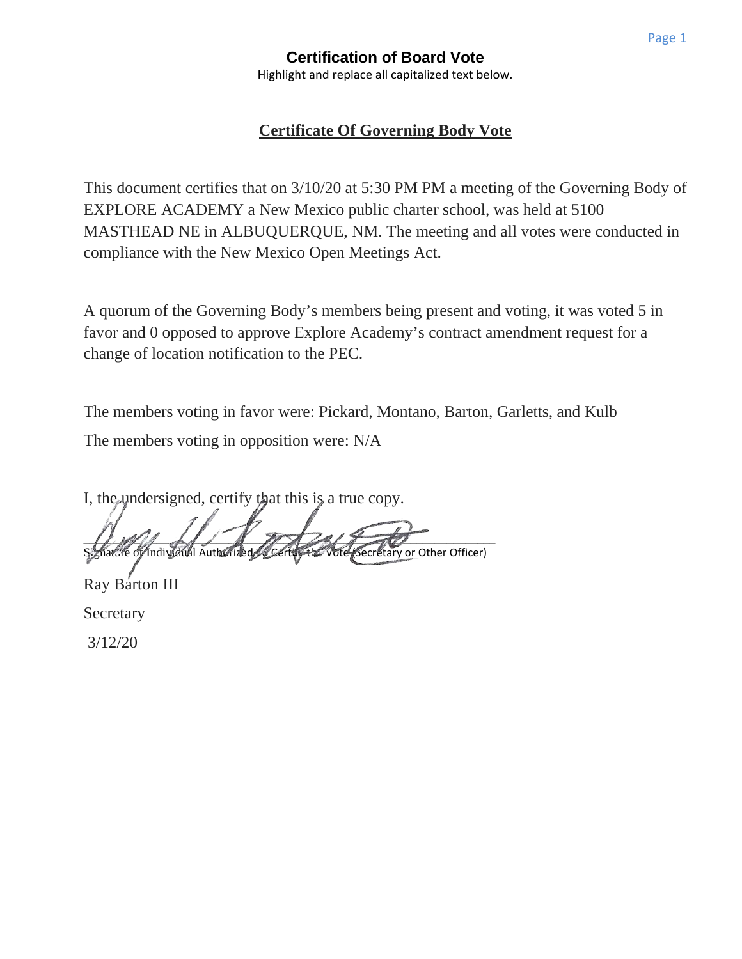## **Certification of Board Vote** Highlight and replace all capitalized text below.

# **Certificate Of Governing Body Vote**

This document certifies that on 3/10/20 at 5:30 PM PM a meeting of the Governing Body of EXPLORE ACADEMY a New Mexico public charter school, was held at 5100 MASTHEAD NE in ALBUQUERQUE, NM. The meeting and all votes were conducted in compliance with the New Mexico Open Meetings Act.

A quorum of the Governing Body's members being present and voting, it was voted 5 in favor and 0 opposed to approve Explore Academy's contract amendment request for a change of location notification to the PEC.

The members voting in favor were: Pickard, Montano, Barton, Garletts, and Kulb The members voting in opposition were: N/A

I, the undersigned, certify that this is a true copy.

 $\Box$ ature of Individual Authorized Certify the Vote (Secretary or Other Officer)

Ray Barton III **Secretary** 3/12/20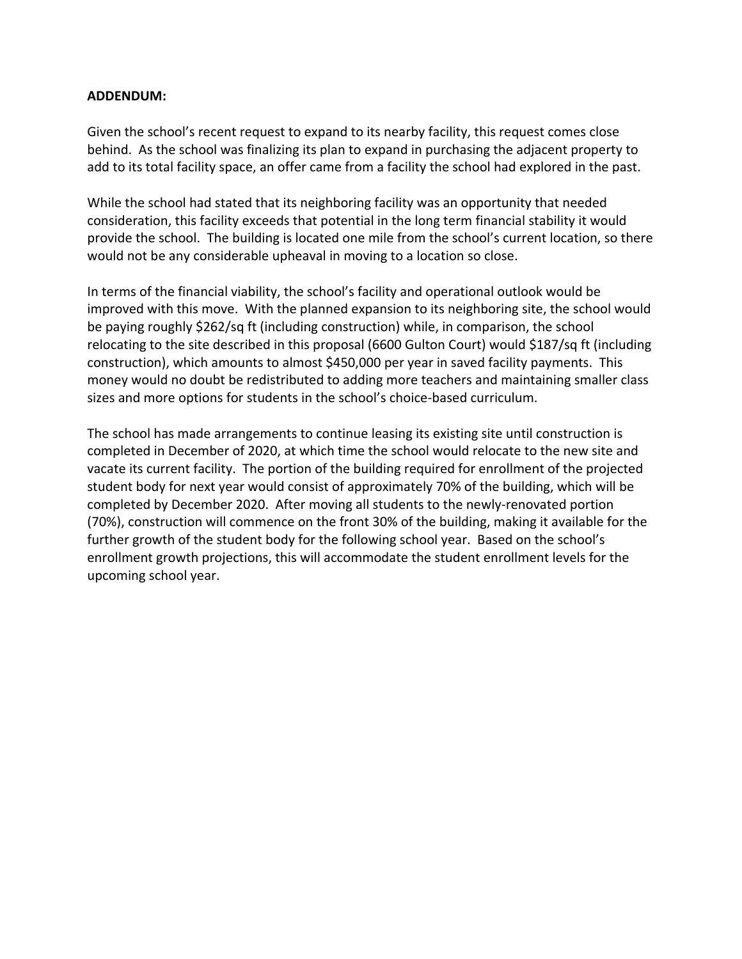## **ADDENDUM:**

Given the school's recent request to expand to its nearby facility, this request comes close behind. As the school was finalizing its plan to expand in purchasing the adjacent property to add to its total facility space, an offer came from a facility the school had explored in the past.

While the school had stated that its neighboring facility was an opportunity that needed consideration, this facility exceeds that potential in the long term financial stability it would provide the school. The building is located one mile from the school's current location, so there would not be any considerable upheaval in moving to a location so close.

In terms of the financial viability, the school's facility and operational outlook would be improved with this move. With the planned expansion to its neighboring site, the school would be paying roughly \$262/sq ft (including construction) while, in comparison, the school relocating to the site described in this proposal (6600 Gulton Court) would \$187/sq ft (including construction), which amounts to almost \$450,000 per year in saved facility payments. This money would no doubt be redistributed to adding more teachers and maintaining smaller class sizes and more options for students in the school's choice-based curriculum.

The school has made arrangements to continue leasing its existing site until construction is completed in December of 2020, at which time the school would relocate to the new site and vacate its current facility. The portion of the building required for enrollment of the projected student body for next year would consist of approximately 70% of the building, which will be completed by December 2020. After moving all students to the newly-renovated portion (70%), construction will commence on the front 30% of the building, making it available for the further growth of the student body for the following school year. Based on the school's enrollment growth projections, this will accommodate the student enrollment levels for the upcoming school year.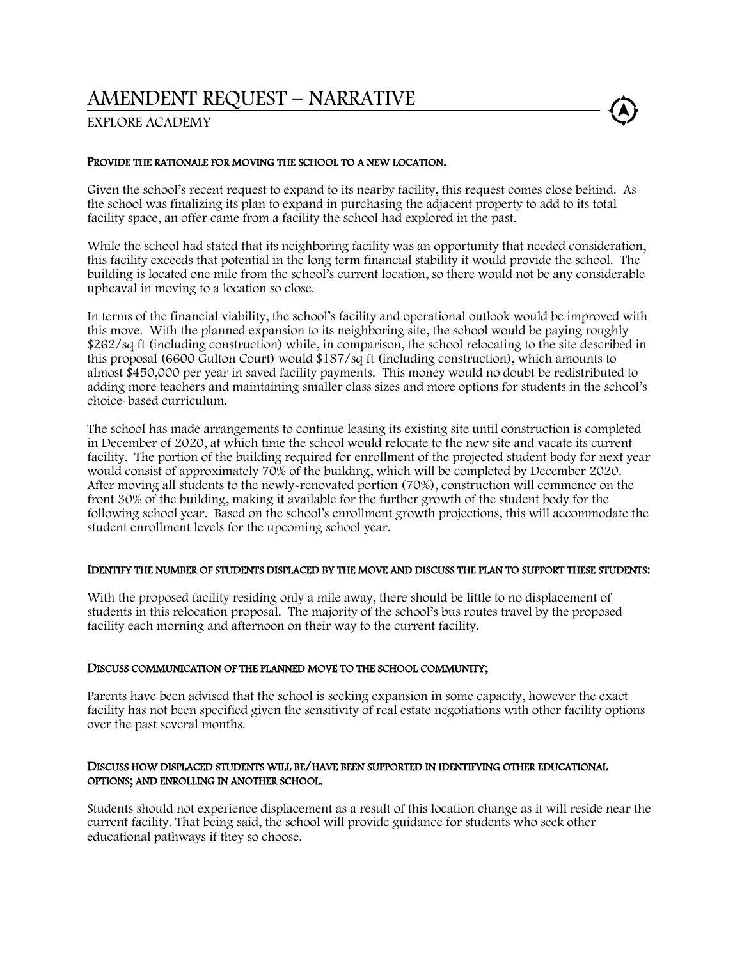# AMENDENT REQUEST – NARRATIVE

# EXPLORE ACADEMY

#### PROVIDE THE RATIONALE FOR MOVING THE SCHOOL TO A NEW LOCATION.

Given the school's recent request to expand to its nearby facility, this request comes close behind. As the school was finalizing its plan to expand in purchasing the adjacent property to add to its total facility space, an offer came from a facility the school had explored in the past.

While the school had stated that its neighboring facility was an opportunity that needed consideration, this facility exceeds that potential in the long term financial stability it would provide the school. The building is located one mile from the school's current location, so there would not be any considerable upheaval in moving to a location so close.

In terms of the financial viability, the school's facility and operational outlook would be improved with this move. With the planned expansion to its neighboring site, the school would be paying roughly \$262/sq ft (including construction) while, in comparison, the school relocating to the site described in this proposal (6600 Gulton Court) would \$187/sq ft (including construction), which amounts to almost \$450,000 per year in saved facility payments. This money would no doubt be redistributed to adding more teachers and maintaining smaller class sizes and more options for students in the school's choice-based curriculum.

The school has made arrangements to continue leasing its existing site until construction is completed in December of 2020, at which time the school would relocate to the new site and vacate its current facility. The portion of the building required for enrollment of the projected student body for next year would consist of approximately 70% of the building, which will be completed by December 2020. After moving all students to the newly-renovated portion (70%), construction will commence on the front 30% of the building, making it available for the further growth of the student body for the following school year. Based on the school's enrollment growth projections, this will accommodate the student enrollment levels for the upcoming school year.

#### IDENTIFY THE NUMBER OF STUDENTS DISPLACED BY THE MOVE AND DISCUSS THE PLAN TO SUPPORT THESE STUDENTS:

With the proposed facility residing only a mile away, there should be little to no displacement of students in this relocation proposal. The majority of the school's bus routes travel by the proposed facility each morning and afternoon on their way to the current facility.

#### DISCUSS COMMUNICATION OF THE PLANNED MOVE TO THE SCHOOL COMMUNITY;

Parents have been advised that the school is seeking expansion in some capacity, however the exact facility has not been specified given the sensitivity of real estate negotiations with other facility options over the past several months.

#### DISCUSS HOW DISPLACED STUDENTS WILL BE/HAVE BEEN SUPPORTED IN IDENTIFYING OTHER EDUCATIONAL OPTIONS; AND ENROLLING IN ANOTHER SCHOOL.

Students should not experience displacement as a result of this location change as it will reside near the current facility. That being said, the school will provide guidance for students who seek other educational pathways if they so choose.